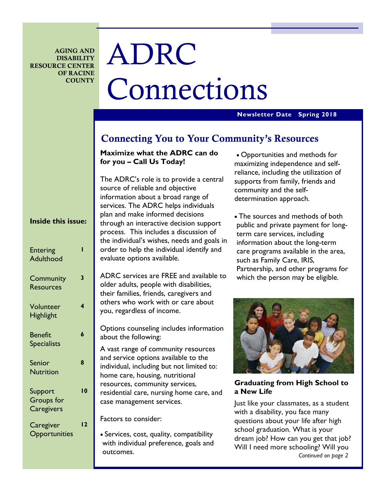**AGING AND DISABILITY RESOURCE CENTER OF RACINE COUNTY** 

# ADRC Connections

### **Newsletter Date Spring 2018**

# **Connecting You to Your Community's Resources**

# **Maximize what the ADRC can do for you – Call Us Today!**

The ADRC's role is to provide a central source of reliable and objective information about a broad range of services. The ADRC helps individuals plan and make informed decisions through an interactive decision support process. This includes a discussion of the individual's wishes, needs and goals in order to help the individual identify and evaluate options available.

ADRC services are FREE and available to older adults, people with disabilities, their families, friends, caregivers and others who work with or care about you, regardless of income.

Options counseling includes information about the following:

A vast range of community resources and service options available to the individual, including but not limited to: home care, housing, nutritional resources, community services, residential care, nursing home care, and case management services.

Factors to consider:

• Services, cost, quality, compatibility with individual preference, goals and outcomes.

• Opportunities and methods for maximizing independence and selfreliance, including the utilization of supports from family, friends and community and the selfdetermination approach.

• The sources and methods of both public and private payment for longterm care services, including information about the long-term care programs available in the area, such as Family Care, IRIS, Partnership, and other programs for which the person may be eligible.



**Graduating from High School to a New Life** 

Just like your classmates, as a student with a disability, you face many questions about your life after high school graduation. What is your dream job? How can you get that job? Will I need more schooling? Will you *Continued on page 2* 

# **Inside this issue:**

| <b>Entering</b><br><b>Adulthood</b>        |     |
|--------------------------------------------|-----|
| Community<br><b>Resources</b>              | 3   |
| Volunteer<br><b>Highlight</b>              | 4   |
| <b>Benefit</b><br><b>Specialists</b>       | 6   |
| Senior<br><b>Nutrition</b>                 | 8   |
| Support<br><b>Groups</b> for<br>Caregivers | l 0 |
| Caregiver<br>Opportunities                 | ر ا |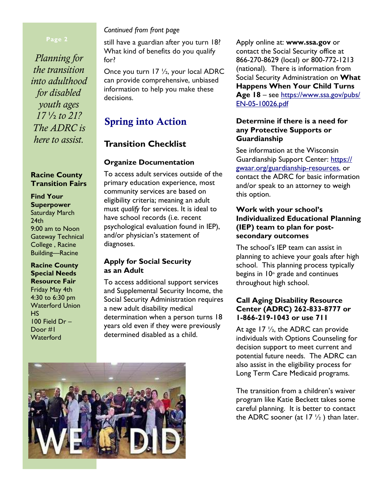*Planning for the transition into adulthood for disabled youth ages 17* ½ *to 21? The ADRC is here to assist.* 

## **Racine County Transition Fairs**

**Find Your Superpower**  Saturday March  $24th$ 9:00 am to Noon Gateway Technical College , Racine Building—Racine

**Racine County Special Needs Resource Fair**  Friday May 4th 4:30 to 6:30 pm Waterford Union HS 100 Field Dr – Door #1 **Waterford** 

# *Continued from front page*

still have a guardian after you turn 18? What kind of benefits do you qualify for?

Once you turn 17 ½, your local ADRC can provide comprehensive, unbiased information to help you make these decisions.

# **Spring into Action**

# **Transition Checklist**

# **Organize Documentation**

To access adult services outside of the primary education experience, most community services are based on eligibility criteria; meaning an adult must *qualify* for services. It is ideal to have school records (i.e. recent psychological evaluation found in IEP), and/or physician's statement of diagnoses.

# **Apply for Social Security as an Adult**

To access additional support services and Supplemental Security Income, the Social Security Administration requires a new adult disability medical determination when a person turns 18 years old even if they were previously determined disabled as a child.



Apply online at: **www.ssa.gov** or contact the Social Security office at 866-270-8629 (local) or 800-772-1213 (national). There is information from Social Security Administration on **What Happens When Your Child Turns Age 18** – see https://www.ssa.gov/pubs/ EN-05-10026.pdf

# **Determine if there is a need for any Protective Supports or Guardianship**

 See information at the Wisconsin Guardianship Support Center: https:// gwaar.org/guardianship-resources, or contact the ADRC for basic information and/or speak to an attorney to weigh this option.

# **Work with your school's Individualized Educational Planning (IEP) team to plan for postsecondary outcomes**

The school's IEP team can assist in planning to achieve your goals after high school. This planning process typically begins in  $10<sup>th</sup>$  grade and continues throughout high school.

# **Call Aging Disability Resource Center (ADRC) 262-833-8777 or 1-866-219-1043 or use 711**

At age 17  $\frac{1}{2}$ , the ADRC can provide individuals with Options Counseling for decision support to meet current and potential future needs. The ADRC can also assist in the eligibility process for Long Term Care Medicaid programs.

The transition from a children's waiver program like Katie Beckett takes some careful planning. It is better to contact the ADRC sooner (at  $17\frac{1}{2}$ ) than later.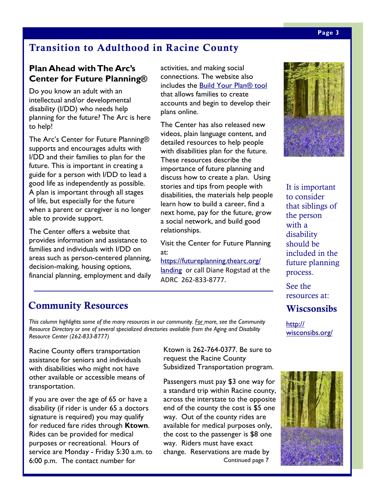# **Transition to Adulthood in Racine County**

# **Plan Ahead with The Arc's Center for Future Planning®**

Do you know an adult with an intellectual and/or developmental disability (I/DD) who needs help planning for the future? The Arc is here to help!

The Arc's Center for Future Planning® supports and encourages adults with I/DD and their families to plan for the future. This is important in creating a guide for a person with I/DD to lead a good life as independently as possible. A plan is important through all stages of life, but especially for the future when a parent or caregiver is no longer able to provide support.

The Center offers a website that provides information and assistance to families and individuals with I/DD on areas such as person-centered planning, decision-making, housing options, financial planning, employment and daily

activities, and making social connections. The website also includes the Build Your Plan® tool that allows families to create accounts and begin to develop their plans online.

The Center has also released new videos, plain language content, and detailed resources to help people with disabilities plan for the future. These resources describe the importance of future planning and discuss how to create a plan. Using stories and tips from people with disabilities, the materials help people learn how to build a career, find a next home, pay for the future, grow a social network, and build good relationships.

Visit the Center for Future Planning at:

https://futureplanning.thearc.org/ landing or call Diane Rogstad at the ADRC 262-833-8777.

# **Community Resources**

*This column highlights some of the many resources in our community. For more, see the Community Resource Directory or one of several specialized directories available from the Aging and Disability Resource Center (262-833-8777)* 

Racine County offers transportation assistance for seniors and individuals with disabilities who might not have other available or accessible means of transportation.

If you are over the age of 65 or have a disability (if rider is under 65 a doctors signature is required) you may qualify for reduced fare rides through **Ktown**. Rides can be provided for medical purposes or recreational. Hours of service are Monday - Friday 5:30 a.m. to 6:00 p.m. The contact number for

Ktown is 262-764-0377. Be sure to request the Racine County Subsidized Transportation program.

Passengers must pay \$3 one way for a standard trip within Racine county, across the interstate to the opposite end of the county the cost is \$5 one way. Out of the county rides are available for medical purposes only, the cost to the passenger is \$8 one way. Riders must have exact change. Reservations are made by Continued page 7



It is important to consider that siblings of the person with a disability should be included in the future planning process.

See the resources at:

**Wiscsonsibs** 

http:// wisconsibs.org/

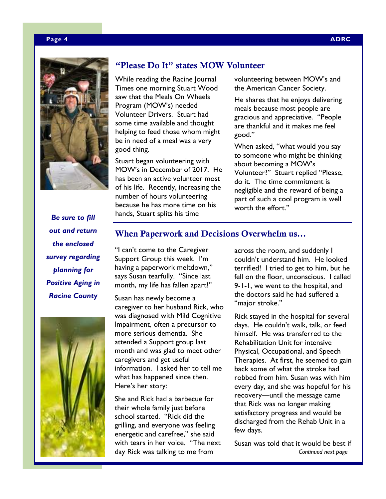### **Page 4 ADRC**



# *Be sure to fill out and return the enclosed survey regarding planning for Positive Aging in Racine County*



# **"Please Do It" states MOW Volunteer**

While reading the Racine Journal Times one morning Stuart Wood saw that the Meals On Wheels Program (MOW's) needed Volunteer Drivers. Stuart had some time available and thought helping to feed those whom might be in need of a meal was a very good thing.

Stuart began volunteering with MOW's in December of 2017. He has been an active volunteer most of his life. Recently, increasing the number of hours volunteering because he has more time on his hands, Stuart splits his time

volunteering between MOW's and the American Cancer Society.

He shares that he enjoys delivering meals because most people are gracious and appreciative. "People are thankful and it makes me feel good."

When asked, "what would you say to someone who might be thinking about becoming a MOW's Volunteer?" Stuart replied "Please, do it. The time commitment is negligible and the reward of being a part of such a cool program is well worth the effort."

# **When Paperwork and Decisions Overwhelm us...**

"I can't come to the Caregiver Support Group this week. I'm having a paperwork meltdown," says Susan tearfully. "Since last month, my life has fallen apart!"

Susan has newly become a caregiver to her husband Rick, who was diagnosed with Mild Cognitive Impairment, often a precursor to more serious dementia. She attended a Support group last month and was glad to meet other caregivers and get useful information. I asked her to tell me what has happened since then. Here's her story:

She and Rick had a barbecue for their whole family just before school started. "Rick did the grilling, and everyone was feeling energetic and carefree," she said with tears in her voice. "The next day Rick was talking to me from

across the room, and suddenly I couldn't understand him. He looked terrified! I tried to get to him, but he fell on the floor, unconscious. I called 9-1-1, we went to the hospital, and the doctors said he had suffered a "major stroke."

Rick stayed in the hospital for several days. He couldn't walk, talk, or feed himself. He was transferred to the Rehabilitation Unit for intensive Physical, Occupational, and Speech Therapies. At first, he seemed to gain back some of what the stroke had robbed from him. Susan was with him every day, and she was hopeful for his recovery—until the message came that Rick was no longer making satisfactory progress and would be discharged from the Rehab Unit in a few days.

Susan was told that it would be best if *Continued next page*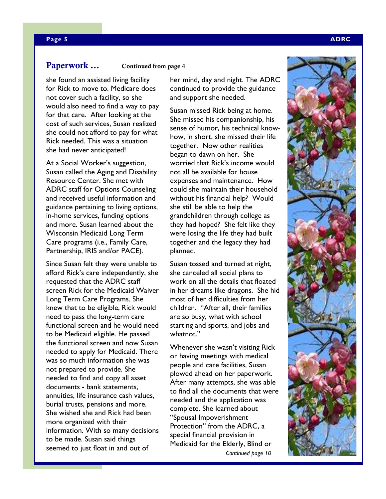**Paperwork ...** Continued from page 4

she found an assisted living facility for Rick to move to. Medicare does not cover such a facility, so she would also need to find a way to pay for that care. After looking at the cost of such services, Susan realized she could not afford to pay for what Rick needed. This was a situation she had never anticipated!

At a Social Worker's suggestion, Susan called the Aging and Disability Resource Center. She met with ADRC staff for Options Counseling and received useful information and guidance pertaining to living options, in-home services, funding options and more. Susan learned about the Wisconsin Medicaid Long Term Care programs (i.e., Family Care, Partnership, IRIS and/or PACE).

Since Susan felt they were unable to afford Rick's care independently, she requested that the ADRC staff screen Rick for the Medicaid Waiver Long Term Care Programs. She knew that to be eligible, Rick would need to pass the long-term care functional screen and he would need to be Medicaid eligible. He passed the functional screen and now Susan needed to apply for Medicaid. There was so much information she was not prepared to provide. She needed to find and copy all asset documents - bank statements, annuities, life insurance cash values, burial trusts, pensions and more. She wished she and Rick had been more organized with their information. With so many decisions to be made. Susan said things seemed to just float in and out of

her mind, day and night. The ADRC continued to provide the guidance and support she needed.

Susan missed Rick being at home. She missed his companionship, his sense of humor, his technical knowhow, in short, she missed their life together. Now other realities began to dawn on her. She worried that Rick's income would not all be available for house expenses and maintenance. How could she maintain their household without his financial help? Would she still be able to help the grandchildren through college as they had hoped? She felt like they were losing the life they had built together and the legacy they had planned.

Susan tossed and turned at night, she canceled all social plans to work on all the details that floated in her dreams like dragons. She hid most of her difficulties from her children. "After all, their families are so busy, what with school starting and sports, and jobs and whatnot."

Whenever she wasn't visiting Rick or having meetings with medical people and care facilities, Susan plowed ahead on her paperwork. After many attempts, she was able to find all the documents that were needed and the application was complete. She learned about "Spousal Impoverishment Protection" from the ADRC, a special financial provision in Medicaid for the Elderly, Blind or *Continued page 10* 

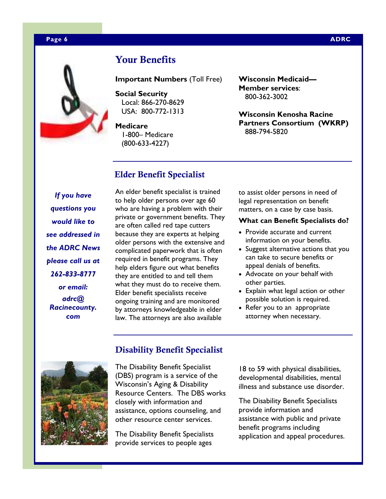### **Page 6 ADRC 2012 12:00:00 ADRC 2013 12:00:00 ADRC 2014 12:00:00 ADRC 2014 12:00:00 ADRC**



# **Your Benefits**

**Important Numbers** (Toll Free)

**Social Security**  Local: 866-270-8629 USA: 800-772-1313

**Medicare**  1-800– Medicare (800-633-4227)

**Elder Benefit Specialist** 

**Wisconsin Medicaid— Member services**: 800-362-3002

**Wisconsin Kenosha Racine Partners Consortium (WKRP)**  888-794-5820

# *If you have questions you would like to see addressed in the ADRC News please call us at 262-833-8777 or email: adrc@ Racinecounty. com*

An elder benefit specialist is trained to help older persons over age 60 who are having a problem with their private or government benefits. They are often called red tape cutters because they are experts at helping older persons with the extensive and complicated paperwork that is often required in benefit programs. They help elders figure out what benefits they are entitled to and tell them what they must do to receive them. Elder benefit specialists receive ongoing training and are monitored by attorneys knowledgeable in elder law. The attorneys are also available

to assist older persons in need of legal representation on benefit matters, on a case by case basis.

### **What can Benefit Specialists do?**

- Provide accurate and current information on your benefits.
- Suggest alternative actions that you can take to secure benefits or appeal denials of benefits.
- Advocate on your behalf with other parties.
- Explain what legal action or other possible solution is required.
- Refer you to an appropriate attorney when necessary.



# **Disability Benefit Specialist**

The Disability Benefit Specialist (DBS) program is a service of the Wisconsin's Aging & Disability Resource Centers. The DBS works closely with information and assistance, options counseling, and other resource center services.

The Disability Benefit Specialists provide services to people ages

18 to 59 with physical disabilities, developmental disabilities, mental illness and substance use disorder.

The Disability Benefit Specialists provide information and assistance with public and private benefit programs including application and appeal procedures.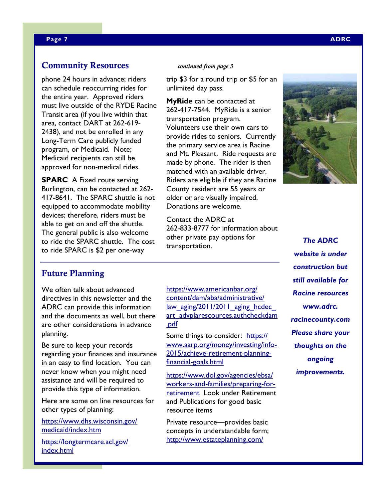# **Community Resources** *continued from page 3*

phone 24 hours in advance; riders can schedule reoccurring rides for the entire year. Approved riders must live outside of the RYDE Racine Transit area (if you live within that area, contact DART at 262-619- 2438), and not be enrolled in any Long-Term Care publicly funded program, or Medicaid. Note; Medicaid recipients can still be approved for non-medical rides.

**SPARC** A Fixed route serving Burlington, can be contacted at 262- 417-8641. The SPARC shuttle is not equipped to accommodate mobility devices; therefore, riders must be able to get on and off the shuttle. The general public is also welcome to ride the SPARC shuttle. The cost to ride SPARC is \$2 per one-way

trip \$3 for a round trip or \$5 for an unlimited day pass.

**MyRide** can be contacted at 262-417-7544. MyRide is a senior transportation program. Volunteers use their own cars to provide rides to seniors. Currently the primary service area is Racine and Mt. Pleasant. Ride requests are made by phone. The rider is then matched with an available driver. Riders are eligible if they are Racine County resident are 55 years or older or are visually impaired. Donations are welcome.

Contact the ADRC at 262-833-8777 for information about other private pay options for transportation.



*The ADRC website is under construction but still available for Racine resources www.adrc. racinecounty.com Please share your thoughts on the ongoing improvements.* 

# **Future Planning**

We often talk about advanced directives in this newsletter and the ADRC can provide this information and the documents as well, but there are other considerations in advance planning.

Be sure to keep your records regarding your finances and insurance in an easy to find location. You can never know when you might need assistance and will be required to provide this type of information.

Here are some on line resources for other types of planning:

https://www.dhs.wisconsin.gov/ medicaid/index.htm

https://longtermcare.acl.gov/ index.html

https://www.americanbar.org/ content/dam/aba/administrative/ law\_aging/2011/2011\_aging\_hcdec\_ art\_advplarescources.authcheckdam .pdf

Some things to consider: https:// www.aarp.org/money/investing/info-2015/achieve-retirement-planningfinancial-goals.html

https://www.dol.gov/agencies/ebsa/ workers-and-families/preparing-forretirement Look under Retirement and Publications for good basic resource items

Private resource—provides basic concepts in understandable form; http://www.estateplanning.com/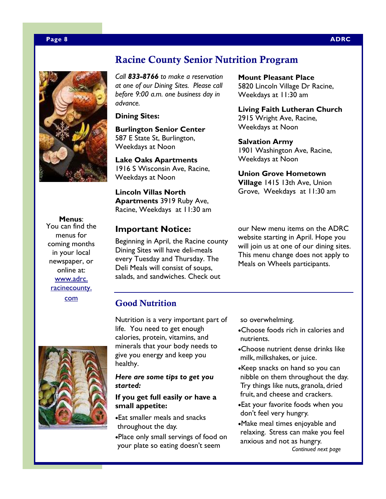

# **Racine County Senior Nutrition Program**

*Call 833-8766 to make a reservation at one of our Dining Sites. Please call before 9:00 a.m. one business day in advance.* 

**Dining Sites:** 

**Burlington Senior Center**  587 E State St, Burlington, Weekdays at Noon

**Lake Oaks Apartments**  1916 S Wisconsin Ave, Racine, Weekdays at Noon

**Lincoln Villas North Apartments** 3919 Ruby Ave, Racine, Weekdays at 11:30 am

# **Important Notice:**

Beginning in April, the Racine county Dining Sites will have deli-meals every Tuesday and Thursday. The Deli Meals will consist of soups, salads, and sandwiches. Check out

**Mount Pleasant Place**  5820 Lincoln Village Dr Racine, Weekdays at 11:30 am

**Living Faith Lutheran Church**  2915 Wright Ave, Racine, Weekdays at Noon

**Salvation Army**  1901 Washington Ave, Racine, Weekdays at Noon

**Union Grove Hometown Village** 1415 13th Ave, Union Grove, Weekdays at 11:30 am

our New menu items on the ADRC website starting in April. Hope you will join us at one of our dining sites. This menu change does not apply to Meals on Wheels participants.

You can find the menus for coming months in your local newspaper, or online at: www.adrc. racinecounty. com

**Menus**:



Nutrition is a very important part of life. You need to get enough calories, protein, vitamins, and minerals that your body needs to give you energy and keep you healthy.

*Here are some tips to get you started:* 

## **If you get full easily or have a small appetite:**

•Eat smaller meals and snacks throughout the day. •Place only small servings of food on your plate so eating doesn't seem

so overwhelming.

- •Choose foods rich in calories and nutrients.
- •Choose nutrient dense drinks like milk, milkshakes, or juice.
- •Keep snacks on hand so you can nibble on them throughout the day. Try things like nuts, granola, dried fruit, and cheese and crackers.
- •Eat your favorite foods when you don't feel very hungry.
- •Make meal times enjoyable and relaxing. Stress can make you feel anxious and not as hungry. *Continued next page*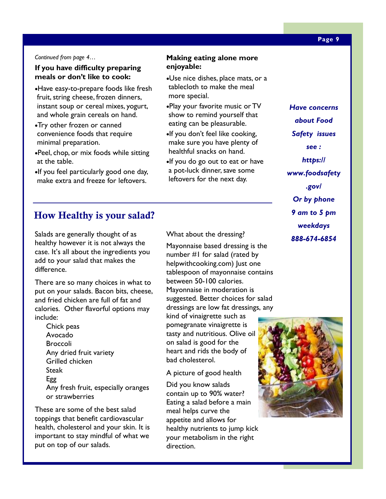### *Continued from page 4…*

# **If you have difficulty preparing meals or don't like to cook:**

- •Have easy-to-prepare foods like fresh fruit, string cheese, frozen dinners, instant soup or cereal mixes, yogurt, and whole grain cereals on hand.
- •Try other frozen or canned convenience foods that require minimal preparation.
- •Peel, chop, or mix foods while sitting at the table.
- •If you feel particularly good one day, make extra and freeze for leftovers.

# **How Healthy is your salad?**

Salads are generally thought of as healthy however it is not always the case. It's all about the ingredients you add to your salad that makes the difference.

There are so many choices in what to put on your salads. Bacon bits, cheese, and fried chicken are full of fat and calories. Other flavorful options may include:

Chick peas Avocado Broccoli Any dried fruit variety Grilled chicken Steak Egg Any fresh fruit, especially oranges or strawberries

These are some of the best salad toppings that benefit cardiovascular health, cholesterol and your skin. It is important to stay mindful of what we put on top of our salads.

What about the dressing?

**Making eating alone more** 

•Use nice dishes, place mats, or a tablecloth to make the meal

•Play your favorite music or TV show to remind yourself that eating can be pleasurable. •If you don't feel like cooking, make sure you have plenty of healthful snacks on hand.

•If you do go out to eat or have a pot-luck dinner, save some leftovers for the next day.

**enjoyable:** 

more special.

Mayonnaise based dressing is the number #1 for salad (rated by helpwithcooking.com) Just one tablespoon of mayonnaise contains between 50-100 calories. Mayonnaise in moderation is suggested. Better choices for salad dressings are low fat dressings, any

kind of vinaigrette such as pomegranate vinaigrette is tasty and nutritious. Olive oil on salad is good for the heart and rids the body of bad cholesterol.

A picture of good health

Did you know salads contain up to 90% water? Eating a salad before a main meal helps curve the appetite and allows for healthy nutrients to jump kick your metabolism in the right direction.

# *Have concerns about Food Safety issues*

*see :* 

*https://*

*www.foodsafety*

*.gov/* 

*Or by phone* 

*9 am to 5 pm* 

*weekdays 888-674-6854* 



### **Page 9**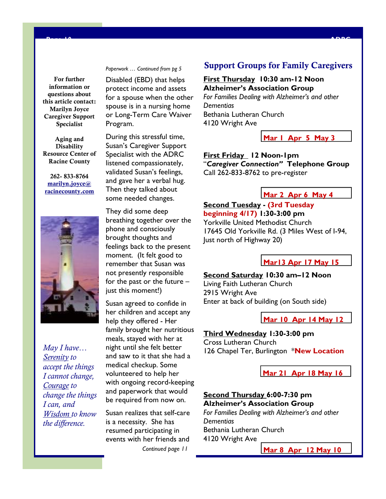**For further information or questions about this article contact: Marilyn Joyce Caregiver Support Specialist** 

**Aging and Disability Resource Center of Racine County** 

**262- 833-8764 marilyn.joyce@ racinecounty.com**



*May I have… Serenity to accept the things I cannot change, Courage to change the things I can, and Wisdom to know the difference.* 

*Paperwork … Continued from pg 5* 

**Page 10 ADRC** 

Disabled (EBD) that helps protect income and assets for a spouse when the other spouse is in a nursing home or Long-Term Care Waiver Program.

During this stressful time, Susan's Caregiver Support Specialist with the ADRC listened compassionately, validated Susan's feelings, and gave her a verbal hug. Then they talked about some needed changes.

They did some deep breathing together over the phone and consciously brought thoughts and feelings back to the present moment. (It felt good to remember that Susan was not presently responsible for the past or the future – just this moment!)

Susan agreed to confide in her children and accept any help they offered - Her family brought her nutritious meals, stayed with her at night until she felt better and saw to it that she had a medical checkup. Some volunteered to help her with ongoing record-keeping and paperwork that would be required from now on.

Susan realizes that self-care is a necessity. She has resumed participating in events with her friends and *Continued page 11*

# **Support Groups for Family Caregivers**

### **First Thursday 10:30 am-12 Noon Alzheimer's Association Group**

*For Families Dealing with Alzheimer's and other Dementias*  Bethania Lutheran Church 4120 Wright Ave

**Mar 1 Apr 5 May 3**

**First Friday 12 Noon-1pm**  "*Caregiver Connection"* **Telephone Group**  Call 262-833-8762 to pre-register

### **Mar 2 Apr 6 May 4**

# **Second Tuesday - (3rd Tuesday beginning 4/17) 1:30-3:00 pm**  Yorkville United Methodist Church 17645 Old Yorkville Rd. (3 Miles West of I-94, Just north of Highway 20)

**Mar13 Apr 17 May 15**

# **Second Saturday 10:30 am–12 Noon**

Living Faith Lutheran Church 2915 Wright Ave Enter at back of building (on South side)

**Mar 10 Apr 14 May 12**

# **Third Wednesday 1:30-3:00 pm**

Cross Lutheran Church 126 Chapel Ter, Burlington \***New Location**

**Mar 21 Apr 18 May 16**

# **Second Thursday 6:00-7:30 pm Alzheimer's Association Group**

*For Families Dealing with Alzheimer's and other Dementias*  Bethania Lutheran Church 4120 Wright Ave

**Mar 8 Apr 12 May 10**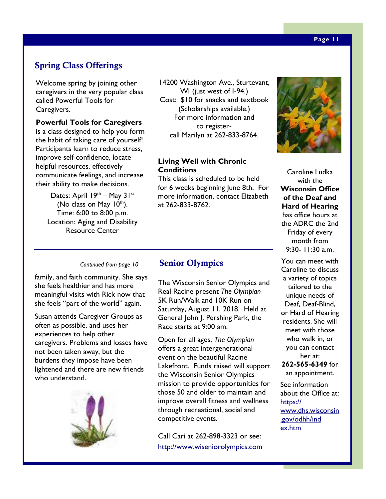# **Spring Class Offerings**

Welcome spring by joining other caregivers in the very popular class called Powerful Tools for Caregivers.

### **Powerful Tools for Caregivers**

is a class designed to help you form the habit of taking care of yourself! Participants learn to reduce stress, improve self-confidence, locate helpful resources, effectively communicate feelings, and increase their ability to make decisions.

> Dates: April  $19<sup>th</sup>$  – May  $31<sup>st</sup>$ (No class on May  $10^{th}$ ). Time: 6:00 to 8:00 p.m. Location: Aging and Disability Resource Center

14200 Washington Ave., Sturtevant, WI (just west of I-94.) Cost: \$10 for snacks and textbook (Scholarships available.) For more information and to registercall Marilyn at 262-833-8764.

# **Living Well with Chronic Conditions**

This class is scheduled to be held for 6 weeks beginning June 8th. For more information, contact Elizabeth at 262-833-8762.

### *Continued from page 10*

family, and faith community. She says she feels healthier and has more meaningful visits with Rick now that she feels "part of the world" again.

Susan attends Caregiver Groups as often as possible, and uses her experiences to help other caregivers. Problems and losses have not been taken away, but the burdens they impose have been lightened and there are new friends who understand.



# **Senior Olympics**

The Wisconsin Senior Olympics and Real Racine present *The Olympian*  5K Run/Walk and 10K Run on Saturday, August 11, 2018. Held at General John J. Pershing Park, the Race starts at 9:00 am.

Open for all ages, *The Olympian*  offers a great intergenerational event on the beautiful Racine Lakefront. Funds raised will support the Wisconsin Senior Olympics mission to provide opportunities for those 50 and older to maintain and improve overall fitness and wellness through recreational, social and competitive events.

Call Cari at 262-898-3323 or see: http://www.wiseniorolympics.com



Caroline Ludka with the **Wisconsin Office of the Deaf and Hard of Hearing**  has office hours at the ADRC the 2nd Friday of every month from 9:30- 11:30 a.m.

You can meet with Caroline to discuss a variety of topics tailored to the unique needs of Deaf, Deaf-Blind, or Hard of Hearing residents. She will meet with those who walk in, or you can contact her at:

**262-565-6349** for an appointment.

See information about the Office at: https:// www.dhs.wisconsin .gov/odhh/ind ex.htm

### **Page 11**